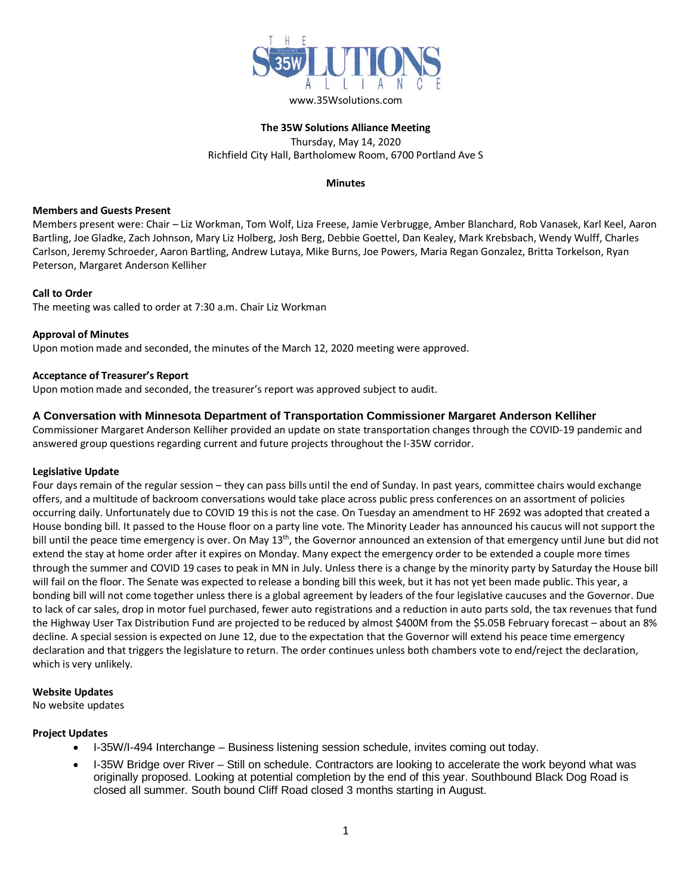

# **The 35W Solutions Alliance Meeting** Thursday, May 14, 2020 Richfield City Hall, Bartholomew Room, 6700 Portland Ave S

#### **Minutes**

### **Members and Guests Present**

Members present were: Chair – Liz Workman, Tom Wolf, Liza Freese, Jamie Verbrugge, Amber Blanchard, Rob Vanasek, Karl Keel, Aaron Bartling, Joe Gladke, Zach Johnson, Mary Liz Holberg, Josh Berg, Debbie Goettel, Dan Kealey, Mark Krebsbach, Wendy Wulff, Charles Carlson, Jeremy Schroeder, Aaron Bartling, Andrew Lutaya, Mike Burns, Joe Powers, Maria Regan Gonzalez, Britta Torkelson, Ryan Peterson, Margaret Anderson Kelliher

## **Call to Order**

The meeting was called to order at 7:30 a.m. Chair Liz Workman

## **Approval of Minutes**

Upon motion made and seconded, the minutes of the March 12, 2020 meeting were approved.

## **Acceptance of Treasurer's Report**

Upon motion made and seconded, the treasurer's report was approved subject to audit.

## **A Conversation with Minnesota Department of Transportation Commissioner Margaret Anderson Kelliher**

Commissioner Margaret Anderson Kelliher provided an update on state transportation changes through the COVID-19 pandemic and answered group questions regarding current and future projects throughout the I-35W corridor.

### **Legislative Update**

Four days remain of the regular session – they can pass bills until the end of Sunday. In past years, committee chairs would exchange offers, and a multitude of backroom conversations would take place across public press conferences on an assortment of policies occurring daily. Unfortunately due to COVID 19 this is not the case. On Tuesday an amendment to HF 2692 was adopted that created a House bonding bill. It passed to the House floor on a party line vote. The Minority Leader has announced his caucus will not support the bill until the peace time emergency is over. On May 13<sup>th</sup>, the Governor announced an extension of that emergency until June but did not extend the stay at home order after it expires on Monday. Many expect the emergency order to be extended a couple more times through the summer and COVID 19 cases to peak in MN in July. Unless there is a change by the minority party by Saturday the House bill will fail on the floor. The Senate was expected to release a bonding bill this week, but it has not yet been made public. This year, a bonding bill will not come together unless there is a global agreement by leaders of the four legislative caucuses and the Governor. Due to lack of car sales, drop in motor fuel purchased, fewer auto registrations and a reduction in auto parts sold, the tax revenues that fund the Highway User Tax Distribution Fund are projected to be reduced by almost \$400M from the \$5.05B February forecast – about an 8% decline. A special session is expected on June 12, due to the expectation that the Governor will extend his peace time emergency declaration and that triggers the legislature to return. The order continues unless both chambers vote to end/reject the declaration, which is very unlikely.

### **Website Updates**

No website updates

### **Project Updates**

- I-35W/I-494 Interchange Business listening session schedule, invites coming out today.
- I-35W Bridge over River Still on schedule. Contractors are looking to accelerate the work beyond what was originally proposed. Looking at potential completion by the end of this year. Southbound Black Dog Road is closed all summer. South bound Cliff Road closed 3 months starting in August.